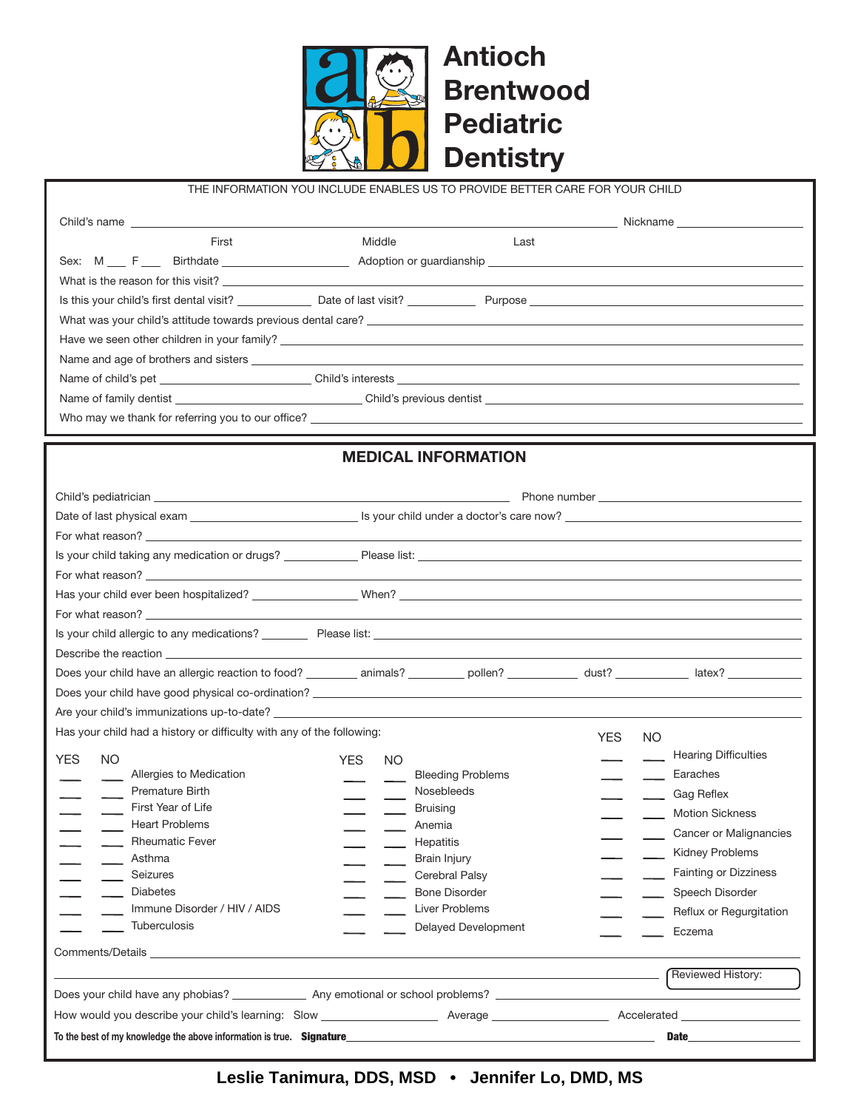

THE INFORMATION YOU INCLUDE ENABLES US TO PROVIDE BETTER CARE FOR YOUR CHILD

| Middle<br>First<br>Last<br><b>MEDICAL INFORMATION</b><br>For what reason?<br>Describe the reaction experience of the contract of the contract of the contract of the contract of the contract of the contract of the contract of the contract of the contract of the contract of the contract of the contra<br>Does your child have an allergic reaction to food? ___________ animals? __________ pollen? _____________ dust? _____________ latex? ___________________<br>Are your child's immunizations up-to-date?<br>Has your child had a history or difficulty with any of the following:<br>YES.<br>NO.<br><b>Hearing Difficulties</b><br>YES.<br>NO.<br>YES.<br>NO.<br>Allergies to Medication<br><b>Bleeding Problems</b><br>Earaches<br>Premature Birth<br>Nosebleeds<br>Cag Reflex<br>First Year of Life<br><b>Bruising</b><br>Motion Sickness<br><b>Heart Problems</b><br>Anemia<br>Cancer or Malignancies<br><b>Rheumatic Fever</b><br>Hepatitis<br>Kidney Problems<br>Asthma<br>Brain Injury<br><b>Fainting or Dizziness</b><br>Cerebral Palsy<br>Seizures<br><b>Diabetes</b><br><b>Bone Disorder</b><br>Speech Disorder<br>Immune Disorder / HIV / AIDS<br><b>Liver Problems</b><br>Reflux or Regurgitation<br><b>Tuberculosis</b><br><b>Delayed Development</b><br>Eczema<br>Comments/Details <b>Comments/Details</b><br>Reviewed History: |  |  | Nickname |
|----------------------------------------------------------------------------------------------------------------------------------------------------------------------------------------------------------------------------------------------------------------------------------------------------------------------------------------------------------------------------------------------------------------------------------------------------------------------------------------------------------------------------------------------------------------------------------------------------------------------------------------------------------------------------------------------------------------------------------------------------------------------------------------------------------------------------------------------------------------------------------------------------------------------------------------------------------------------------------------------------------------------------------------------------------------------------------------------------------------------------------------------------------------------------------------------------------------------------------------------------------------------------------------------------------------------------------------------------------|--|--|----------|
|                                                                                                                                                                                                                                                                                                                                                                                                                                                                                                                                                                                                                                                                                                                                                                                                                                                                                                                                                                                                                                                                                                                                                                                                                                                                                                                                                          |  |  |          |
|                                                                                                                                                                                                                                                                                                                                                                                                                                                                                                                                                                                                                                                                                                                                                                                                                                                                                                                                                                                                                                                                                                                                                                                                                                                                                                                                                          |  |  |          |
|                                                                                                                                                                                                                                                                                                                                                                                                                                                                                                                                                                                                                                                                                                                                                                                                                                                                                                                                                                                                                                                                                                                                                                                                                                                                                                                                                          |  |  |          |
|                                                                                                                                                                                                                                                                                                                                                                                                                                                                                                                                                                                                                                                                                                                                                                                                                                                                                                                                                                                                                                                                                                                                                                                                                                                                                                                                                          |  |  |          |
|                                                                                                                                                                                                                                                                                                                                                                                                                                                                                                                                                                                                                                                                                                                                                                                                                                                                                                                                                                                                                                                                                                                                                                                                                                                                                                                                                          |  |  |          |
|                                                                                                                                                                                                                                                                                                                                                                                                                                                                                                                                                                                                                                                                                                                                                                                                                                                                                                                                                                                                                                                                                                                                                                                                                                                                                                                                                          |  |  |          |
|                                                                                                                                                                                                                                                                                                                                                                                                                                                                                                                                                                                                                                                                                                                                                                                                                                                                                                                                                                                                                                                                                                                                                                                                                                                                                                                                                          |  |  |          |
|                                                                                                                                                                                                                                                                                                                                                                                                                                                                                                                                                                                                                                                                                                                                                                                                                                                                                                                                                                                                                                                                                                                                                                                                                                                                                                                                                          |  |  |          |
|                                                                                                                                                                                                                                                                                                                                                                                                                                                                                                                                                                                                                                                                                                                                                                                                                                                                                                                                                                                                                                                                                                                                                                                                                                                                                                                                                          |  |  |          |
|                                                                                                                                                                                                                                                                                                                                                                                                                                                                                                                                                                                                                                                                                                                                                                                                                                                                                                                                                                                                                                                                                                                                                                                                                                                                                                                                                          |  |  |          |
|                                                                                                                                                                                                                                                                                                                                                                                                                                                                                                                                                                                                                                                                                                                                                                                                                                                                                                                                                                                                                                                                                                                                                                                                                                                                                                                                                          |  |  |          |
|                                                                                                                                                                                                                                                                                                                                                                                                                                                                                                                                                                                                                                                                                                                                                                                                                                                                                                                                                                                                                                                                                                                                                                                                                                                                                                                                                          |  |  |          |
|                                                                                                                                                                                                                                                                                                                                                                                                                                                                                                                                                                                                                                                                                                                                                                                                                                                                                                                                                                                                                                                                                                                                                                                                                                                                                                                                                          |  |  |          |
|                                                                                                                                                                                                                                                                                                                                                                                                                                                                                                                                                                                                                                                                                                                                                                                                                                                                                                                                                                                                                                                                                                                                                                                                                                                                                                                                                          |  |  |          |
|                                                                                                                                                                                                                                                                                                                                                                                                                                                                                                                                                                                                                                                                                                                                                                                                                                                                                                                                                                                                                                                                                                                                                                                                                                                                                                                                                          |  |  |          |
|                                                                                                                                                                                                                                                                                                                                                                                                                                                                                                                                                                                                                                                                                                                                                                                                                                                                                                                                                                                                                                                                                                                                                                                                                                                                                                                                                          |  |  |          |
|                                                                                                                                                                                                                                                                                                                                                                                                                                                                                                                                                                                                                                                                                                                                                                                                                                                                                                                                                                                                                                                                                                                                                                                                                                                                                                                                                          |  |  |          |
|                                                                                                                                                                                                                                                                                                                                                                                                                                                                                                                                                                                                                                                                                                                                                                                                                                                                                                                                                                                                                                                                                                                                                                                                                                                                                                                                                          |  |  |          |
|                                                                                                                                                                                                                                                                                                                                                                                                                                                                                                                                                                                                                                                                                                                                                                                                                                                                                                                                                                                                                                                                                                                                                                                                                                                                                                                                                          |  |  |          |
|                                                                                                                                                                                                                                                                                                                                                                                                                                                                                                                                                                                                                                                                                                                                                                                                                                                                                                                                                                                                                                                                                                                                                                                                                                                                                                                                                          |  |  |          |
|                                                                                                                                                                                                                                                                                                                                                                                                                                                                                                                                                                                                                                                                                                                                                                                                                                                                                                                                                                                                                                                                                                                                                                                                                                                                                                                                                          |  |  |          |
|                                                                                                                                                                                                                                                                                                                                                                                                                                                                                                                                                                                                                                                                                                                                                                                                                                                                                                                                                                                                                                                                                                                                                                                                                                                                                                                                                          |  |  |          |
|                                                                                                                                                                                                                                                                                                                                                                                                                                                                                                                                                                                                                                                                                                                                                                                                                                                                                                                                                                                                                                                                                                                                                                                                                                                                                                                                                          |  |  |          |
|                                                                                                                                                                                                                                                                                                                                                                                                                                                                                                                                                                                                                                                                                                                                                                                                                                                                                                                                                                                                                                                                                                                                                                                                                                                                                                                                                          |  |  |          |
|                                                                                                                                                                                                                                                                                                                                                                                                                                                                                                                                                                                                                                                                                                                                                                                                                                                                                                                                                                                                                                                                                                                                                                                                                                                                                                                                                          |  |  |          |
|                                                                                                                                                                                                                                                                                                                                                                                                                                                                                                                                                                                                                                                                                                                                                                                                                                                                                                                                                                                                                                                                                                                                                                                                                                                                                                                                                          |  |  |          |
|                                                                                                                                                                                                                                                                                                                                                                                                                                                                                                                                                                                                                                                                                                                                                                                                                                                                                                                                                                                                                                                                                                                                                                                                                                                                                                                                                          |  |  |          |
|                                                                                                                                                                                                                                                                                                                                                                                                                                                                                                                                                                                                                                                                                                                                                                                                                                                                                                                                                                                                                                                                                                                                                                                                                                                                                                                                                          |  |  |          |
|                                                                                                                                                                                                                                                                                                                                                                                                                                                                                                                                                                                                                                                                                                                                                                                                                                                                                                                                                                                                                                                                                                                                                                                                                                                                                                                                                          |  |  |          |
|                                                                                                                                                                                                                                                                                                                                                                                                                                                                                                                                                                                                                                                                                                                                                                                                                                                                                                                                                                                                                                                                                                                                                                                                                                                                                                                                                          |  |  |          |
|                                                                                                                                                                                                                                                                                                                                                                                                                                                                                                                                                                                                                                                                                                                                                                                                                                                                                                                                                                                                                                                                                                                                                                                                                                                                                                                                                          |  |  |          |
|                                                                                                                                                                                                                                                                                                                                                                                                                                                                                                                                                                                                                                                                                                                                                                                                                                                                                                                                                                                                                                                                                                                                                                                                                                                                                                                                                          |  |  |          |
|                                                                                                                                                                                                                                                                                                                                                                                                                                                                                                                                                                                                                                                                                                                                                                                                                                                                                                                                                                                                                                                                                                                                                                                                                                                                                                                                                          |  |  |          |
|                                                                                                                                                                                                                                                                                                                                                                                                                                                                                                                                                                                                                                                                                                                                                                                                                                                                                                                                                                                                                                                                                                                                                                                                                                                                                                                                                          |  |  |          |
|                                                                                                                                                                                                                                                                                                                                                                                                                                                                                                                                                                                                                                                                                                                                                                                                                                                                                                                                                                                                                                                                                                                                                                                                                                                                                                                                                          |  |  |          |
|                                                                                                                                                                                                                                                                                                                                                                                                                                                                                                                                                                                                                                                                                                                                                                                                                                                                                                                                                                                                                                                                                                                                                                                                                                                                                                                                                          |  |  |          |
|                                                                                                                                                                                                                                                                                                                                                                                                                                                                                                                                                                                                                                                                                                                                                                                                                                                                                                                                                                                                                                                                                                                                                                                                                                                                                                                                                          |  |  |          |
|                                                                                                                                                                                                                                                                                                                                                                                                                                                                                                                                                                                                                                                                                                                                                                                                                                                                                                                                                                                                                                                                                                                                                                                                                                                                                                                                                          |  |  |          |
|                                                                                                                                                                                                                                                                                                                                                                                                                                                                                                                                                                                                                                                                                                                                                                                                                                                                                                                                                                                                                                                                                                                                                                                                                                                                                                                                                          |  |  |          |
| How would you describe your child's learning: Slow North Average Accelerated Accelerated                                                                                                                                                                                                                                                                                                                                                                                                                                                                                                                                                                                                                                                                                                                                                                                                                                                                                                                                                                                                                                                                                                                                                                                                                                                                 |  |  |          |
| To the best of my knowledge the above information is true. Signature<br><b>Date</b>                                                                                                                                                                                                                                                                                                                                                                                                                                                                                                                                                                                                                                                                                                                                                                                                                                                                                                                                                                                                                                                                                                                                                                                                                                                                      |  |  |          |

Leslie Tanimura, DDS, MSD • Jennifer Lo, DMD, MS